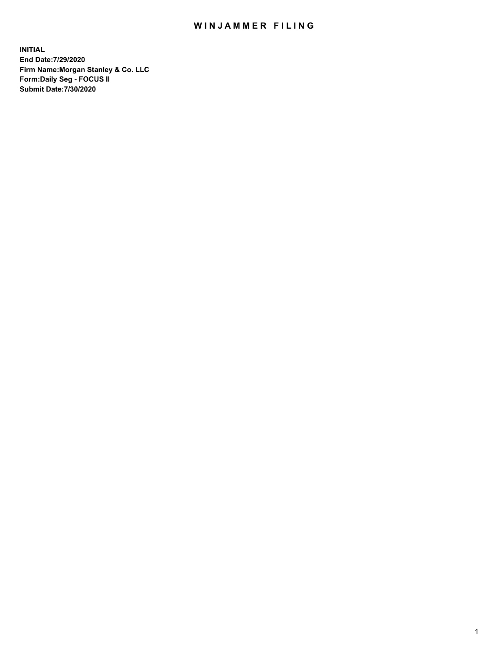## WIN JAMMER FILING

**INITIAL End Date:7/29/2020 Firm Name:Morgan Stanley & Co. LLC Form:Daily Seg - FOCUS II Submit Date:7/30/2020**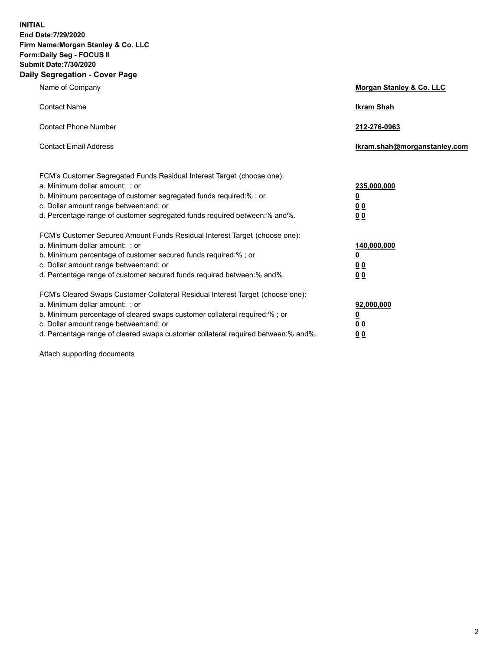**INITIAL End Date:7/29/2020 Firm Name:Morgan Stanley & Co. LLC Form:Daily Seg - FOCUS II Submit Date:7/30/2020 Daily Segregation - Cover Page**

| Name of Company                                                                                                                                                                                                                                                                                                                | Morgan Stanley & Co. LLC                                    |
|--------------------------------------------------------------------------------------------------------------------------------------------------------------------------------------------------------------------------------------------------------------------------------------------------------------------------------|-------------------------------------------------------------|
| <b>Contact Name</b>                                                                                                                                                                                                                                                                                                            | <b>Ikram Shah</b>                                           |
| <b>Contact Phone Number</b>                                                                                                                                                                                                                                                                                                    | 212-276-0963                                                |
| <b>Contact Email Address</b>                                                                                                                                                                                                                                                                                                   | Ikram.shah@morganstanley.com                                |
| FCM's Customer Segregated Funds Residual Interest Target (choose one):<br>a. Minimum dollar amount: ; or<br>b. Minimum percentage of customer segregated funds required:% ; or<br>c. Dollar amount range between: and; or<br>d. Percentage range of customer segregated funds required between:% and%.                         | 235,000,000<br><u>0</u><br><u>00</u><br>0 <sub>0</sub>      |
| FCM's Customer Secured Amount Funds Residual Interest Target (choose one):<br>a. Minimum dollar amount: ; or<br>b. Minimum percentage of customer secured funds required:% ; or<br>c. Dollar amount range between: and; or<br>d. Percentage range of customer secured funds required between:% and%.                           | 140,000,000<br><u>0</u><br>0 <sub>0</sub><br>0 <sub>0</sub> |
| FCM's Cleared Swaps Customer Collateral Residual Interest Target (choose one):<br>a. Minimum dollar amount: ; or<br>b. Minimum percentage of cleared swaps customer collateral required:% ; or<br>c. Dollar amount range between: and; or<br>d. Percentage range of cleared swaps customer collateral required between:% and%. | 92,000,000<br><u>0</u><br><u>00</u><br>00                   |

Attach supporting documents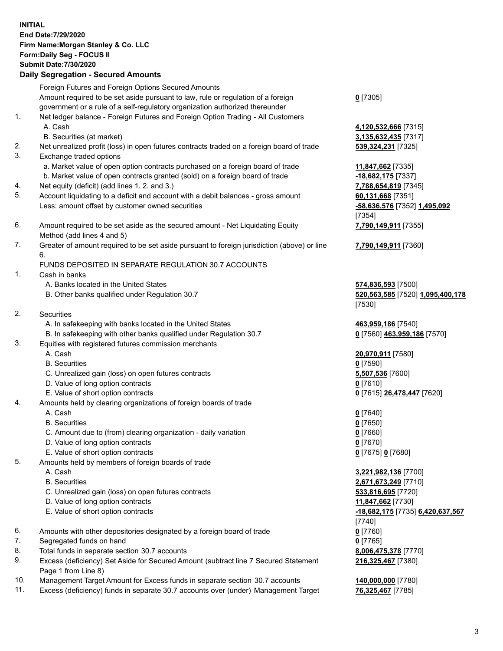| <b>INITIAL</b> | End Date: 7/29/2020<br>Firm Name: Morgan Stanley & Co. LLC<br>Form: Daily Seg - FOCUS II<br><b>Submit Date: 7/30/2020</b><br><b>Daily Segregation - Secured Amounts</b> |                                            |
|----------------|-------------------------------------------------------------------------------------------------------------------------------------------------------------------------|--------------------------------------------|
|                | Foreign Futures and Foreign Options Secured Amounts                                                                                                                     |                                            |
|                | Amount required to be set aside pursuant to law, rule or regulation of a foreign<br>government or a rule of a self-regulatory organization authorized thereunder        | $0$ [7305]                                 |
| 1.             | Net ledger balance - Foreign Futures and Foreign Option Trading - All Customers                                                                                         |                                            |
|                | A. Cash                                                                                                                                                                 | 4,120,532,666 [7315]                       |
| 2.             | B. Securities (at market)<br>Net unrealized profit (loss) in open futures contracts traded on a foreign board of trade                                                  | 3,135,632,435 [7317]                       |
| 3.             | Exchange traded options                                                                                                                                                 | 539,324,231 [7325]                         |
|                | a. Market value of open option contracts purchased on a foreign board of trade                                                                                          | 11,847,662 [7335]                          |
|                | b. Market value of open contracts granted (sold) on a foreign board of trade                                                                                            | -18,682,175 [7337]                         |
| 4.             | Net equity (deficit) (add lines 1.2. and 3.)                                                                                                                            | 7,788,654,819 [7345]                       |
| 5.             | Account liquidating to a deficit and account with a debit balances - gross amount                                                                                       | 60,131,668 [7351]                          |
|                | Less: amount offset by customer owned securities                                                                                                                        | -58,636,576 [7352] 1,495,092<br>[7354]     |
| 6.             | Amount required to be set aside as the secured amount - Net Liquidating Equity                                                                                          | 7,790,149,911 [7355]                       |
|                | Method (add lines 4 and 5)                                                                                                                                              |                                            |
| 7.             | Greater of amount required to be set aside pursuant to foreign jurisdiction (above) or line<br>6.                                                                       | 7,790,149,911 [7360]                       |
|                | FUNDS DEPOSITED IN SEPARATE REGULATION 30.7 ACCOUNTS                                                                                                                    |                                            |
| $\mathbf{1}$ . | Cash in banks                                                                                                                                                           |                                            |
|                | A. Banks located in the United States<br>B. Other banks qualified under Regulation 30.7                                                                                 | 574,836,593 [7500]                         |
|                |                                                                                                                                                                         | 520,563,585 [7520] 1,095,400,178<br>[7530] |
| 2.             | <b>Securities</b>                                                                                                                                                       |                                            |
|                | A. In safekeeping with banks located in the United States                                                                                                               | 463,959,186 [7540]                         |
|                | B. In safekeeping with other banks qualified under Regulation 30.7                                                                                                      | 0 [7560] 463,959,186 [7570]                |
| 3.             | Equities with registered futures commission merchants                                                                                                                   |                                            |
|                | A. Cash                                                                                                                                                                 | 20,970,911 [7580]                          |
|                | <b>B.</b> Securities<br>C. Unrealized gain (loss) on open futures contracts                                                                                             | $0$ [7590]                                 |
|                | D. Value of long option contracts                                                                                                                                       | 5,507,536 [7600]<br>$0$ [7610]             |
|                | E. Value of short option contracts                                                                                                                                      | 0 [7615] 26,478,447 [7620]                 |
| 4.             | Amounts held by clearing organizations of foreign boards of trade                                                                                                       |                                            |
|                | A. Cash                                                                                                                                                                 | $0$ [7640]                                 |
|                | <b>B.</b> Securities                                                                                                                                                    | $0$ [7650]                                 |
|                | C. Amount due to (from) clearing organization - daily variation                                                                                                         | $0$ [7660]                                 |
|                | D. Value of long option contracts                                                                                                                                       | 0 [7670]                                   |
| 5.             | E. Value of short option contracts<br>Amounts held by members of foreign boards of trade                                                                                | 0 [7675] 0 [7680]                          |
|                | A. Cash                                                                                                                                                                 | 3,221,982,136 [7700]                       |
|                | <b>B.</b> Securities                                                                                                                                                    | 2,671,673,249 [7710]                       |
|                | C. Unrealized gain (loss) on open futures contracts                                                                                                                     | 533,816,695 [7720]                         |
|                | D. Value of long option contracts                                                                                                                                       | 11,847,662 [7730]                          |
|                | E. Value of short option contracts                                                                                                                                      | -18,682,175 [7735] 6,420,637,567           |
|                |                                                                                                                                                                         | $[7740]$                                   |
| 6.             | Amounts with other depositories designated by a foreign board of trade                                                                                                  | $0$ [7760]                                 |
| 7.<br>8.       | Segregated funds on hand<br>Total funds in separate section 30.7 accounts                                                                                               | $0$ [7765]<br>8,006,475,378 [7770]         |
| 9.             | Excess (deficiency) Set Aside for Secured Amount (subtract line 7 Secured Statement                                                                                     | 216,325,467 [7380]                         |
|                | Page 1 from Line 8)                                                                                                                                                     |                                            |

- 10. Management Target Amount for Excess funds in separate section 30.7 accounts **140,000,000** [7780]
- 11. Excess (deficiency) funds in separate 30.7 accounts over (under) Management Target **76,325,467** [7785]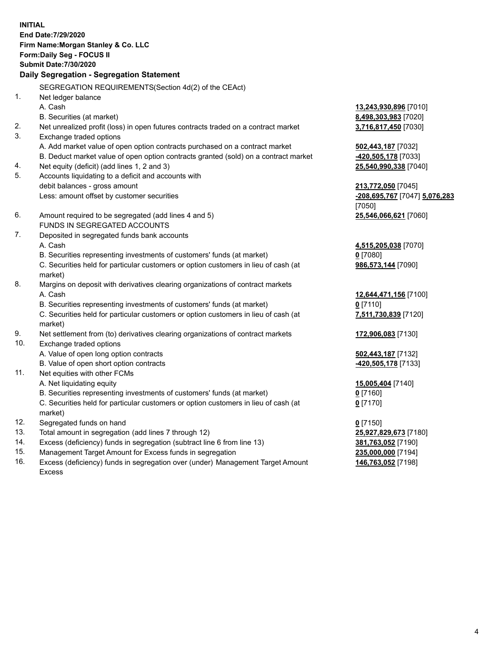**INITIAL End Date:7/29/2020 Firm Name:Morgan Stanley & Co. LLC Form:Daily Seg - FOCUS II Submit Date:7/30/2020 Daily Segregation - Segregation Statement** SEGREGATION REQUIREMENTS(Section 4d(2) of the CEAct) 1. Net ledger balance A. Cash **13,243,930,896** [7010] B. Securities (at market) **8,498,303,983** [7020] 2. Net unrealized profit (loss) in open futures contracts traded on a contract market **3,716,817,450** [7030] 3. Exchange traded options A. Add market value of open option contracts purchased on a contract market **502,443,187** [7032] B. Deduct market value of open option contracts granted (sold) on a contract market **-420,505,178** [7033] 4. Net equity (deficit) (add lines 1, 2 and 3) **25,540,990,338** [7040] 5. Accounts liquidating to a deficit and accounts with debit balances - gross amount **213,772,050** [7045] Less: amount offset by customer securities **-208,695,767** [7047] **5,076,283** [7050] 6. Amount required to be segregated (add lines 4 and 5) **25,546,066,621** [7060] FUNDS IN SEGREGATED ACCOUNTS 7. Deposited in segregated funds bank accounts A. Cash **4,515,205,038** [7070] B. Securities representing investments of customers' funds (at market) **0** [7080] C. Securities held for particular customers or option customers in lieu of cash (at market) **986,573,144** [7090] 8. Margins on deposit with derivatives clearing organizations of contract markets A. Cash **12,644,471,156** [7100] B. Securities representing investments of customers' funds (at market) **0** [7110] C. Securities held for particular customers or option customers in lieu of cash (at market) **7,511,730,839** [7120] 9. Net settlement from (to) derivatives clearing organizations of contract markets **172,906,083** [7130] 10. Exchange traded options A. Value of open long option contracts **502,443,187** [7132] B. Value of open short option contracts **-420,505,178** [7133] 11. Net equities with other FCMs A. Net liquidating equity **15,005,404** [7140] B. Securities representing investments of customers' funds (at market) **0** [7160] C. Securities held for particular customers or option customers in lieu of cash (at market) **0** [7170] 12. Segregated funds on hand **0** [7150] 13. Total amount in segregation (add lines 7 through 12) **25,927,829,673** [7180] 14. Excess (deficiency) funds in segregation (subtract line 6 from line 13) **381,763,052** [7190]

- 15. Management Target Amount for Excess funds in segregation **235,000,000** [7194]
- 16. Excess (deficiency) funds in segregation over (under) Management Target Amount Excess

**146,763,052** [7198]